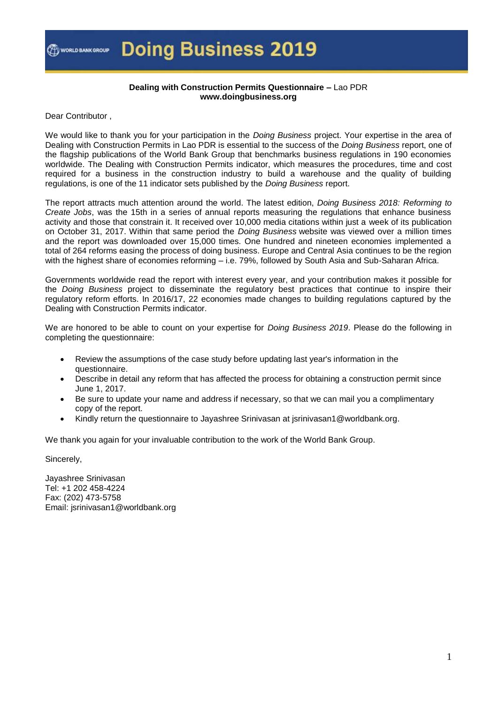

#### **Dealing with Construction Permits Questionnaire –** Lao PDR **www.doingbusiness.org**

Dear Contributor ,

We would like to thank you for your participation in the *Doing Business* project. Your expertise in the area of Dealing with Construction Permits in Lao PDR is essential to the success of the *Doing Business* report, one of the flagship publications of the World Bank Group that benchmarks business regulations in 190 economies worldwide. The Dealing with Construction Permits indicator, which measures the procedures, time and cost required for a business in the construction industry to build a warehouse and the quality of building regulations, is one of the 11 indicator sets published by the *Doing Business* report.

The report attracts much attention around the world. The latest edition, *Doing Business 2018: Reforming to Create Jobs*, was the 15th in a series of annual reports measuring the regulations that enhance business activity and those that constrain it. It received over 10,000 media citations within just a week of its publication on October 31, 2017. Within that same period the *Doing Business* website was viewed over a million times and the report was downloaded over 15,000 times. One hundred and nineteen economies implemented a total of 264 reforms easing the process of doing business. Europe and Central Asia continues to be the region with the highest share of economies reforming – i.e. 79%, followed by South Asia and Sub-Saharan Africa.

Governments worldwide read the report with interest every year, and your contribution makes it possible for the *Doing Business* project to disseminate the regulatory best practices that continue to inspire their regulatory reform efforts. In 2016/17, 22 economies made changes to building regulations captured by the Dealing with Construction Permits indicator.

We are honored to be able to count on your expertise for *Doing Business 2019*. Please do the following in completing the questionnaire:

- Review the assumptions of the case study before updating last year's information in the questionnaire.
- Describe in detail any reform that has affected the process for obtaining a construction permit since June 1, 2017.
- Be sure to update your name and address if necessary, so that we can mail you a complimentary copy of the report.
- Kindly return the questionnaire to Jayashree Srinivasan at jsrinivasan1@worldbank.org.

We thank you again for your invaluable contribution to the work of the World Bank Group.

Sincerely,

Jayashree Srinivasan Tel: +1 202 458-4224 Fax: (202) 473-5758 Email: jsrinivasan1@worldbank.org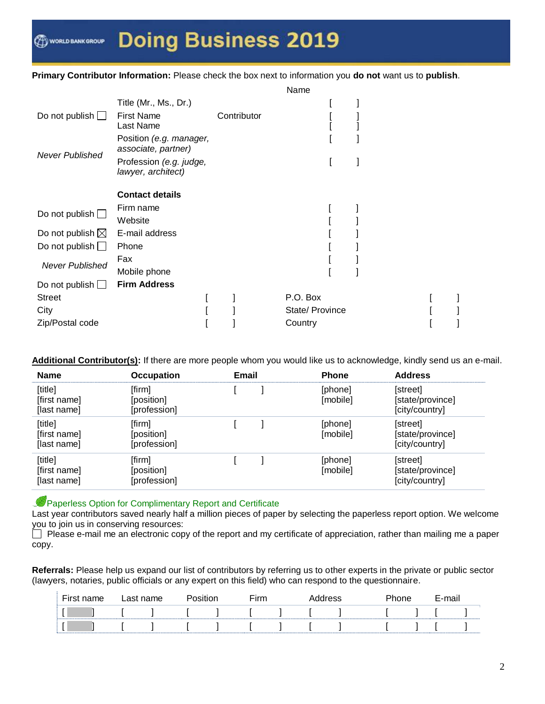#### **Primary Contributor Information:** Please check the box next to information you **do not** want us to **publish**.

|                            |                                                |             | Name            |  |  |  |
|----------------------------|------------------------------------------------|-------------|-----------------|--|--|--|
|                            | Title (Mr., Ms., Dr.)                          |             |                 |  |  |  |
| Do not publish $\Box$      | <b>First Name</b>                              | Contributor |                 |  |  |  |
|                            | Last Name                                      |             |                 |  |  |  |
| <b>Never Published</b>     | Position (e.g. manager,<br>associate, partner) |             |                 |  |  |  |
|                            | Profession (e.g. judge,<br>lawyer, architect)  |             |                 |  |  |  |
|                            | <b>Contact details</b>                         |             |                 |  |  |  |
| Do not publish $\square$   | Firm name                                      |             |                 |  |  |  |
|                            | Website                                        |             |                 |  |  |  |
| Do not publish $\boxtimes$ | E-mail address                                 |             |                 |  |  |  |
| Do not publish $\Box$      | Phone                                          |             |                 |  |  |  |
| <b>Never Published</b>     | Fax                                            |             |                 |  |  |  |
|                            | Mobile phone                                   |             |                 |  |  |  |
| Do not publish $\Box$      | <b>Firm Address</b>                            |             |                 |  |  |  |
| <b>Street</b>              |                                                |             | P.O. Box        |  |  |  |
| City                       |                                                |             | State/ Province |  |  |  |
| Zip/Postal code            |                                                |             | Country         |  |  |  |

**Additional Contributor(s):** If there are more people whom you would like us to acknowledge, kindly send us an e-mail.

| <b>Name</b>                            | <b>Occupation</b>                    | Email | <b>Phone</b>        | <b>Address</b>                                 |
|----------------------------------------|--------------------------------------|-------|---------------------|------------------------------------------------|
| [title]<br>[first name]<br>[last name] | [firm]<br>[position]<br>[profession] |       | [phone]<br>[mobile] | [street]<br>[state/province]<br>[city/country] |
| [title]<br>[first name]<br>[last name] | [firm]<br>[position]<br>[profession] |       | [phone]<br>[mobile] | [street]<br>[state/province]<br>[city/country] |
| [title]<br>[first name]<br>[last name] | [firm]<br>[position]<br>[profession] |       | [phone]<br>[mobile] | [street]<br>[state/province]<br>[city/country] |

Paperless Option for Complimentary Report and Certificate

Last year contributors saved nearly half a million pieces of paper by selecting the paperless report option. We welcome you to join us in conserving resources:

Please e-mail me an electronic copy of the report and my certificate of appreciation, rather than mailing me a paper copy.

**Referrals:** Please help us expand our list of contributors by referring us to other experts in the private or public sector (lawyers, notaries, public officials or any expert on this field) who can respond to the questionnaire.

| First name | ∟ast name |  | <b>Firm</b> | Address | Phone | E-mail |  |
|------------|-----------|--|-------------|---------|-------|--------|--|
|            |           |  |             |         |       |        |  |
|            |           |  |             |         |       |        |  |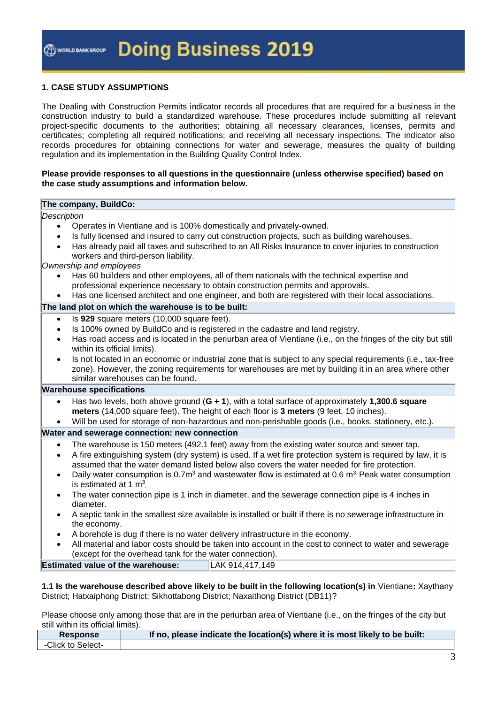#### **1. CASE STUDY ASSUMPTIONS**

The Dealing with Construction Permits indicator records all procedures that are required for a business in the construction industry to build a standardized warehouse. These procedures include submitting all relevant project-specific documents to the authorities; obtaining all necessary clearances, licenses, permits and certificates; completing all required notifications; and receiving all necessary inspections. The indicator also records procedures for obtaining connections for water and sewerage, measures the quality of building regulation and its implementation in the Building Quality Control Index.

#### **Please provide responses to all questions in the questionnaire (unless otherwise specified) based on the case study assumptions and information below.**

#### **The company, BuildCo:**

#### *Description*

- Operates in Vientiane and is 100% domestically and privately-owned.
- Is fully licensed and insured to carry out construction projects, such as building warehouses.
- Has already paid all taxes and subscribed to an All Risks Insurance to cover injuries to construction workers and third-person liability.

#### *Ownership and employees*

- Has 60 builders and other employees, all of them nationals with the technical expertise and professional experience necessary to obtain construction permits and approvals.
- Has one licensed architect and one engineer, and both are registered with their local associations.

#### **The land plot on which the warehouse is to be built:**

- Is **929** square meters (10,000 square feet).
- Is 100% owned by BuildCo and is registered in the cadastre and land registry.
- Has road access and is located in the periurban area of Vientiane (i.e., on the fringes of the city but still within its official limits).
- Is not located in an economic or industrial zone that is subject to any special requirements (i.e., tax-free zone). However, the zoning requirements for warehouses are met by building it in an area where other similar warehouses can be found.

#### **Warehouse specifications**

- Has two levels, both above ground (**G + 1**), with a total surface of approximately **1,300.6 square meters** (14,000 square feet). The height of each floor is **3 meters** (9 feet, 10 inches).
- Will be used for storage of non-hazardous and non-perishable goods (i.e., books, stationery, etc.).

#### **Water and sewerage connection: new connection**

- The warehouse is 150 meters (492.1 feet) away from the existing water source and sewer tap.
- A fire extinguishing system (dry system) is used. If a wet fire protection system is required by law, it is assumed that the water demand listed below also covers the water needed for fire protection.
- Daily water consumption is 0.7 $m<sup>3</sup>$  and wastewater flow is estimated at 0.6  $m<sup>3</sup>$ . Peak water consumption is estimated at 1  $m<sup>3</sup>$ .
- The water connection pipe is 1 inch in diameter, and the sewerage connection pipe is 4 inches in diameter.
- A septic tank in the smallest size available is installed or built if there is no sewerage infrastructure in the economy.
- A borehole is dug if there is no water delivery infrastructure in the economy.
- All material and labor costs should be taken into account in the cost to connect to water and sewerage (except for the overhead tank for the water connection).

| <b>Estimated value of the warehouse:</b><br>LAK 914,417,149 |
|-------------------------------------------------------------|
|-------------------------------------------------------------|

**1.1 Is the warehouse described above likely to be built in the following location(s) in** Vientiane**:** Xaythany District; Hatxaiphong District; Sikhottabong District; Naxaithong District (DB11)?

Please choose only among those that are in the periurban area of Vientiane (i.e., on the fringes of the city but still within its official limits).

| <b>Response</b>   | If no, please indicate the location(s) where it is most likely to be built: |
|-------------------|-----------------------------------------------------------------------------|
| -Click to Select- |                                                                             |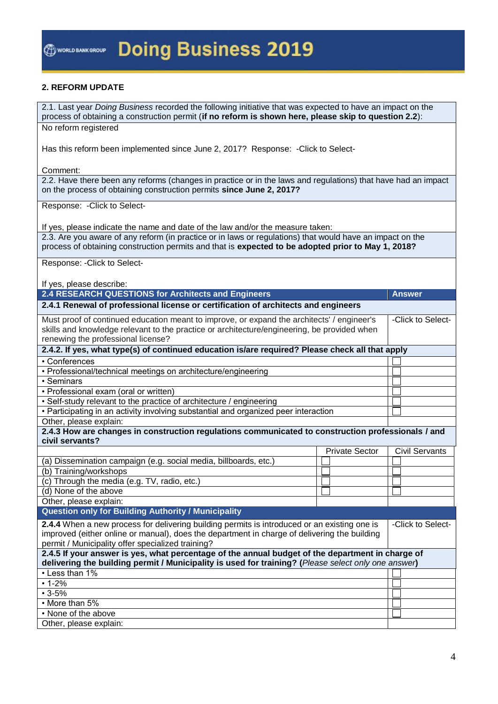#### **2. REFORM UPDATE**

2.1. Last year *Doing Business* recorded the following initiative that was expected to have an impact on the process of obtaining a construction permit (**if no reform is shown here, please skip to question 2.2**): No reform registered Has this reform been implemented since June 2, 2017? Response: -Click to Select-Comment: 2.2. Have there been any reforms (changes in practice or in the laws and regulations) that have had an impact on the process of obtaining construction permits **since June 2, 2017?** Response: -Click to Select-If yes, please indicate the name and date of the law and/or the measure taken: 2.3. Are you aware of any reform (in practice or in laws or regulations) that would have an impact on the process of obtaining construction permits and that is **expected to be adopted prior to May 1, 2018?** Response: -Click to Select-If yes, please describe: **2.4 RESEARCH QUESTIONS for Architects and Engineers Answer 2.4.1 Renewal of professional license or certification of architects and engineers** Must proof of continued education meant to improve, or expand the architects' / engineer's skills and knowledge relevant to the practice or architecture/engineering, be provided when renewing the professional license? -Click to Select-**2.4.2. If yes, what type(s) of continued education is/are required? Please check all that apply** • Conferences • Professional/technical meetings on architecture/engineering • Seminars • Professional exam (oral or written) • Self-study relevant to the practice of architecture / engineering • Participating in an activity involving substantial and organized peer interaction Other, please explain: **2.4.3 How are changes in construction regulations communicated to construction professionals / and civil servants?** Private Sector | Civil Servants (a) Dissemination campaign (e.g. social media, billboards, etc.) (b) Training/workshops (c) Through the media (e.g. TV, radio, etc.) (d) None of the above Other, please explain: **Question only for Building Authority / Municipality 2.4.4** When a new process for delivering building permits is introduced or an existing one is improved (either online or manual), does the department in charge of delivering the building permit / Municipality offer specialized training? -Click to Select-**2.4.5 If your answer is yes, what percentage of the annual budget of the department in charge of delivering the building permit / Municipality is used for training? (***Please select only one answer***)** • Less than 1%  $• 1 - 2%$  $• 3 - 5%$ • More than 5% • None of the above Other, please explain: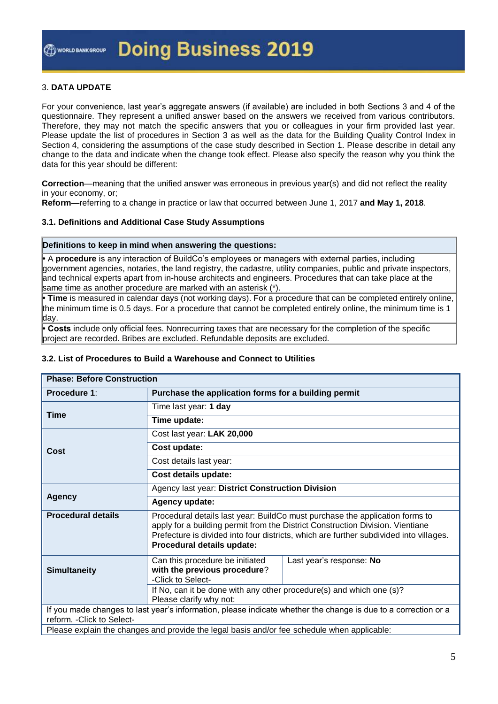#### 3. **DATA UPDATE**

For your convenience, last year's aggregate answers (if available) are included in both Sections 3 and 4 of the questionnaire. They represent a unified answer based on the answers we received from various contributors. Therefore, they may not match the specific answers that you or colleagues in your firm provided last year. Please update the list of procedures in Section 3 as well as the data for the Building Quality Control Index in Section 4, considering the assumptions of the case study described in Section 1. Please describe in detail any change to the data and indicate when the change took effect. Please also specify the reason why you think the data for this year should be different:

**Correction**—meaning that the unified answer was erroneous in previous year(s) and did not reflect the reality in your economy, or;

**Reform**—referring to a change in practice or law that occurred between June 1, 2017 **and May 1, 2018**.

#### **3.1. Definitions and Additional Case Study Assumptions**

#### **Definitions to keep in mind when answering the questions:**

**•** A **procedure** is any interaction of BuildCo's employees or managers with external parties, including government agencies, notaries, the land registry, the cadastre, utility companies, public and private inspectors, and technical experts apart from in-house architects and engineers. Procedures that can take place at the same time as another procedure are marked with an asterisk (\*).

**• Time** is measured in calendar days (not working days). For a procedure that can be completed entirely online, the minimum time is 0.5 days. For a procedure that cannot be completed entirely online, the minimum time is 1 day.

**• Costs** include only official fees. Nonrecurring taxes that are necessary for the completion of the specific project are recorded. Bribes are excluded. Refundable deposits are excluded.

#### **3.2. List of Procedures to Build a Warehouse and Connect to Utilities**

| <b>Phase: Before Construction</b>                                                                              |                                                                                                                                                                |                                                                                        |  |  |  |  |
|----------------------------------------------------------------------------------------------------------------|----------------------------------------------------------------------------------------------------------------------------------------------------------------|----------------------------------------------------------------------------------------|--|--|--|--|
| Procedure 1:                                                                                                   | Purchase the application forms for a building permit                                                                                                           |                                                                                        |  |  |  |  |
|                                                                                                                | Time last year: 1 day                                                                                                                                          |                                                                                        |  |  |  |  |
| <b>Time</b>                                                                                                    | Time update:                                                                                                                                                   |                                                                                        |  |  |  |  |
|                                                                                                                | Cost last year: LAK 20,000                                                                                                                                     |                                                                                        |  |  |  |  |
| Cost                                                                                                           | Cost update:                                                                                                                                                   |                                                                                        |  |  |  |  |
|                                                                                                                | Cost details last year:                                                                                                                                        |                                                                                        |  |  |  |  |
|                                                                                                                | Cost details update:                                                                                                                                           |                                                                                        |  |  |  |  |
|                                                                                                                | Agency last year: District Construction Division                                                                                                               |                                                                                        |  |  |  |  |
|                                                                                                                | Agency<br>Agency update:                                                                                                                                       |                                                                                        |  |  |  |  |
| <b>Procedural details</b>                                                                                      | Procedural details last year: BuildCo must purchase the application forms to<br>apply for a building permit from the District Construction Division. Vientiane |                                                                                        |  |  |  |  |
|                                                                                                                |                                                                                                                                                                | Prefecture is divided into four districts, which are further subdivided into villages. |  |  |  |  |
|                                                                                                                | Procedural details update:                                                                                                                                     |                                                                                        |  |  |  |  |
|                                                                                                                | Can this procedure be initiated                                                                                                                                | Last year's response: No                                                               |  |  |  |  |
| <b>Simultaneity</b>                                                                                            | with the previous procedure?<br>-Click to Select-                                                                                                              |                                                                                        |  |  |  |  |
|                                                                                                                | If No, can it be done with any other procedure(s) and which one (s)?                                                                                           |                                                                                        |  |  |  |  |
|                                                                                                                | Please clarify why not:                                                                                                                                        |                                                                                        |  |  |  |  |
| If you made changes to last year's information, please indicate whether the change is due to a correction or a |                                                                                                                                                                |                                                                                        |  |  |  |  |
| reform. - Click to Select-                                                                                     |                                                                                                                                                                |                                                                                        |  |  |  |  |
|                                                                                                                | Please explain the changes and provide the legal basis and/or fee schedule when applicable:                                                                    |                                                                                        |  |  |  |  |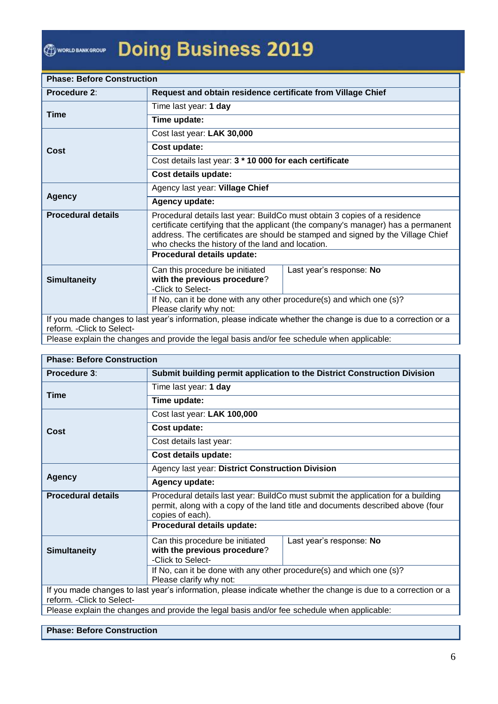WORLD BANK GROUP

# **Doing Business 2019**

| <b>Phase: Before Construction</b>                                                                                                            |                                                                                                                                                                                                                                                                                                       |                                                             |  |  |  |  |  |
|----------------------------------------------------------------------------------------------------------------------------------------------|-------------------------------------------------------------------------------------------------------------------------------------------------------------------------------------------------------------------------------------------------------------------------------------------------------|-------------------------------------------------------------|--|--|--|--|--|
| <b>Procedure 2:</b>                                                                                                                          |                                                                                                                                                                                                                                                                                                       | Request and obtain residence certificate from Village Chief |  |  |  |  |  |
| <b>Time</b>                                                                                                                                  | Time last year: 1 day                                                                                                                                                                                                                                                                                 |                                                             |  |  |  |  |  |
|                                                                                                                                              | Time update:                                                                                                                                                                                                                                                                                          |                                                             |  |  |  |  |  |
|                                                                                                                                              | Cost last year: LAK 30,000                                                                                                                                                                                                                                                                            |                                                             |  |  |  |  |  |
| Cost                                                                                                                                         | Cost update:                                                                                                                                                                                                                                                                                          |                                                             |  |  |  |  |  |
|                                                                                                                                              | Cost details last year: 3 * 10 000 for each certificate                                                                                                                                                                                                                                               |                                                             |  |  |  |  |  |
|                                                                                                                                              | Cost details update:                                                                                                                                                                                                                                                                                  |                                                             |  |  |  |  |  |
|                                                                                                                                              | Agency last year: Village Chief                                                                                                                                                                                                                                                                       |                                                             |  |  |  |  |  |
| <b>Agency</b>                                                                                                                                | Agency update:                                                                                                                                                                                                                                                                                        |                                                             |  |  |  |  |  |
| <b>Procedural details</b>                                                                                                                    | Procedural details last year: BuildCo must obtain 3 copies of a residence<br>certificate certifying that the applicant (the company's manager) has a permanent<br>address. The certificates are should be stamped and signed by the Village Chief<br>who checks the history of the land and location. |                                                             |  |  |  |  |  |
|                                                                                                                                              | Procedural details update:                                                                                                                                                                                                                                                                            |                                                             |  |  |  |  |  |
| <b>Simultaneity</b>                                                                                                                          | Can this procedure be initiated<br>with the previous procedure?<br>-Click to Select-                                                                                                                                                                                                                  | Last year's response: No                                    |  |  |  |  |  |
|                                                                                                                                              | If No, can it be done with any other procedure(s) and which one (s)?<br>Please clarify why not:                                                                                                                                                                                                       |                                                             |  |  |  |  |  |
| If you made changes to last year's information, please indicate whether the change is due to a correction or a<br>reform. - Click to Select- |                                                                                                                                                                                                                                                                                                       |                                                             |  |  |  |  |  |
|                                                                                                                                              | Please explain the changes and provide the legal basis and/or fee schedule when applicable:                                                                                                                                                                                                           |                                                             |  |  |  |  |  |

#### **Phase: Before Construction**

| Procedure 3:                                                                                                                                 | Submit building permit application to the District Construction Division                                                                                                                |                          |  |  |  |
|----------------------------------------------------------------------------------------------------------------------------------------------|-----------------------------------------------------------------------------------------------------------------------------------------------------------------------------------------|--------------------------|--|--|--|
| <b>Time</b>                                                                                                                                  | Time last year: 1 day                                                                                                                                                                   |                          |  |  |  |
|                                                                                                                                              | Time update:                                                                                                                                                                            |                          |  |  |  |
|                                                                                                                                              | Cost last year: LAK 100,000                                                                                                                                                             |                          |  |  |  |
| Cost                                                                                                                                         | Cost update:                                                                                                                                                                            |                          |  |  |  |
|                                                                                                                                              | Cost details last year:                                                                                                                                                                 |                          |  |  |  |
|                                                                                                                                              | Cost details update:                                                                                                                                                                    |                          |  |  |  |
|                                                                                                                                              | Agency last year: District Construction Division                                                                                                                                        |                          |  |  |  |
| <b>Agency</b>                                                                                                                                | Agency update:                                                                                                                                                                          |                          |  |  |  |
| <b>Procedural details</b>                                                                                                                    | Procedural details last year: BuildCo must submit the application for a building<br>permit, along with a copy of the land title and documents described above (four<br>copies of each). |                          |  |  |  |
|                                                                                                                                              | Procedural details update:                                                                                                                                                              |                          |  |  |  |
| <b>Simultaneity</b>                                                                                                                          | Can this procedure be initiated<br>with the previous procedure?<br>-Click to Select-                                                                                                    | Last year's response: No |  |  |  |
|                                                                                                                                              | If No, can it be done with any other procedure(s) and which one (s)?<br>Please clarify why not:                                                                                         |                          |  |  |  |
| If you made changes to last year's information, please indicate whether the change is due to a correction or a<br>reform. - Click to Select- |                                                                                                                                                                                         |                          |  |  |  |
|                                                                                                                                              | Please explain the changes and provide the legal basis and/or fee schedule when applicable:                                                                                             |                          |  |  |  |

#### **Phase: Before Construction**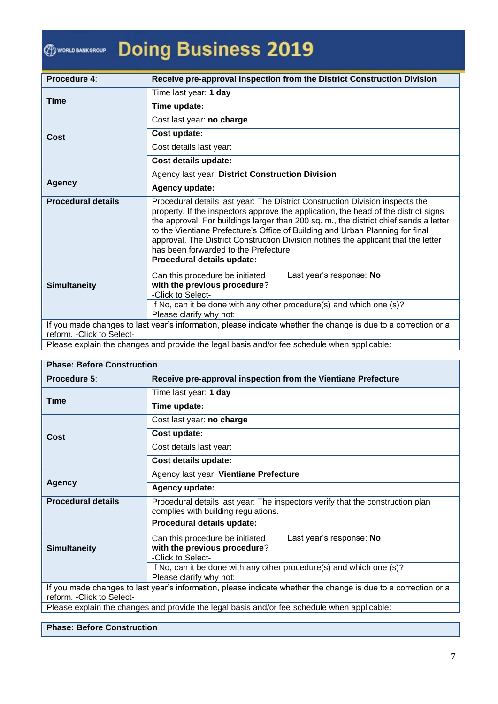### **Doing Business 2019 O WORLD BANK GROUP**

| Procedure 4:               |                                                                                                                                                                                                                                                                                                                                                                                                                                                                                | Receive pre-approval inspection from the District Construction Division                                        |  |  |  |  |
|----------------------------|--------------------------------------------------------------------------------------------------------------------------------------------------------------------------------------------------------------------------------------------------------------------------------------------------------------------------------------------------------------------------------------------------------------------------------------------------------------------------------|----------------------------------------------------------------------------------------------------------------|--|--|--|--|
| <b>Time</b>                | Time last year: 1 day                                                                                                                                                                                                                                                                                                                                                                                                                                                          |                                                                                                                |  |  |  |  |
|                            | Time update:                                                                                                                                                                                                                                                                                                                                                                                                                                                                   |                                                                                                                |  |  |  |  |
|                            | Cost last year: no charge                                                                                                                                                                                                                                                                                                                                                                                                                                                      |                                                                                                                |  |  |  |  |
| Cost                       | Cost update:                                                                                                                                                                                                                                                                                                                                                                                                                                                                   |                                                                                                                |  |  |  |  |
|                            | Cost details last year:                                                                                                                                                                                                                                                                                                                                                                                                                                                        |                                                                                                                |  |  |  |  |
|                            | Cost details update:                                                                                                                                                                                                                                                                                                                                                                                                                                                           |                                                                                                                |  |  |  |  |
|                            | Agency last year: District Construction Division                                                                                                                                                                                                                                                                                                                                                                                                                               |                                                                                                                |  |  |  |  |
| <b>Agency</b>              | Agency update:                                                                                                                                                                                                                                                                                                                                                                                                                                                                 |                                                                                                                |  |  |  |  |
| <b>Procedural details</b>  | Procedural details last year: The District Construction Division inspects the<br>property. If the inspectors approve the application, the head of the district signs<br>the approval. For buildings larger than 200 sq. m., the district chief sends a letter<br>to the Vientiane Prefecture's Office of Building and Urban Planning for final<br>approval. The District Construction Division notifies the applicant that the letter<br>has been forwarded to the Prefecture. |                                                                                                                |  |  |  |  |
|                            | Procedural details update:                                                                                                                                                                                                                                                                                                                                                                                                                                                     |                                                                                                                |  |  |  |  |
| <b>Simultaneity</b>        | Can this procedure be initiated<br>with the previous procedure?<br>-Click to Select-                                                                                                                                                                                                                                                                                                                                                                                           | Last year's response: No                                                                                       |  |  |  |  |
|                            | If No, can it be done with any other procedure(s) and which one (s)?<br>Please clarify why not:                                                                                                                                                                                                                                                                                                                                                                                |                                                                                                                |  |  |  |  |
| reform. - Click to Select- | $\mathbf{r}$ , and the set of the set of the set of the set of the set of the set of the set of the set of the set of the set of the set of the set of the set of the set of the set of the set of the set of the set of the set                                                                                                                                                                                                                                               | If you made changes to last year's information, please indicate whether the change is due to a correction or a |  |  |  |  |

Please explain the changes and provide the legal basis and/or fee schedule when applicable:

### **Phase: Before Construction**

| Procedure 5:                                                                                                                                 | Receive pre-approval inspection from the Vientiane Prefecture                                                         |                          |  |  |  |
|----------------------------------------------------------------------------------------------------------------------------------------------|-----------------------------------------------------------------------------------------------------------------------|--------------------------|--|--|--|
| <b>Time</b>                                                                                                                                  | Time last year: 1 day                                                                                                 |                          |  |  |  |
|                                                                                                                                              | Time update:                                                                                                          |                          |  |  |  |
|                                                                                                                                              | Cost last year: no charge                                                                                             |                          |  |  |  |
| Cost                                                                                                                                         | Cost update:                                                                                                          |                          |  |  |  |
|                                                                                                                                              | Cost details last year:                                                                                               |                          |  |  |  |
|                                                                                                                                              | Cost details update:                                                                                                  |                          |  |  |  |
|                                                                                                                                              | Agency last year: Vientiane Prefecture                                                                                |                          |  |  |  |
| <b>Agency</b>                                                                                                                                | Agency update:                                                                                                        |                          |  |  |  |
| <b>Procedural details</b>                                                                                                                    | Procedural details last year: The inspectors verify that the construction plan<br>complies with building regulations. |                          |  |  |  |
|                                                                                                                                              | Procedural details update:                                                                                            |                          |  |  |  |
| <b>Simultaneity</b>                                                                                                                          | Can this procedure be initiated<br>with the previous procedure?                                                       | Last year's response: No |  |  |  |
|                                                                                                                                              | -Click to Select-<br>If No, can it be done with any other procedure(s) and which one (s)?                             |                          |  |  |  |
|                                                                                                                                              | Please clarify why not:                                                                                               |                          |  |  |  |
| If you made changes to last year's information, please indicate whether the change is due to a correction or a<br>reform. - Click to Select- |                                                                                                                       |                          |  |  |  |
|                                                                                                                                              | Please explain the changes and provide the legal basis and/or fee schedule when applicable:                           |                          |  |  |  |

#### **Phase: Before Construction**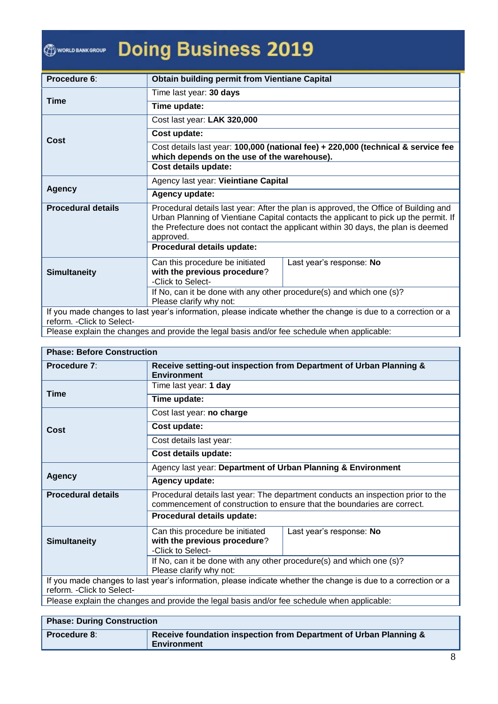### **Doing Business 2019 O WORLD BANK GROUP**

| Procedure 6:               |                                                                                                                                                                                                                                                                               | <b>Obtain building permit from Vientiane Capital</b>                                                           |  |  |  |  |
|----------------------------|-------------------------------------------------------------------------------------------------------------------------------------------------------------------------------------------------------------------------------------------------------------------------------|----------------------------------------------------------------------------------------------------------------|--|--|--|--|
|                            | Time last year: 30 days                                                                                                                                                                                                                                                       |                                                                                                                |  |  |  |  |
| <b>Time</b>                | Time update:                                                                                                                                                                                                                                                                  |                                                                                                                |  |  |  |  |
|                            | Cost last year: LAK 320,000                                                                                                                                                                                                                                                   |                                                                                                                |  |  |  |  |
| Cost                       | Cost update:                                                                                                                                                                                                                                                                  |                                                                                                                |  |  |  |  |
|                            | Cost details last year: 100,000 (national fee) + 220,000 (technical & service fee<br>which depends on the use of the warehouse).                                                                                                                                              |                                                                                                                |  |  |  |  |
|                            | Cost details update:                                                                                                                                                                                                                                                          |                                                                                                                |  |  |  |  |
|                            | Agency last year: Vieintiane Capital                                                                                                                                                                                                                                          |                                                                                                                |  |  |  |  |
| <b>Agency</b>              | Agency update:                                                                                                                                                                                                                                                                |                                                                                                                |  |  |  |  |
| <b>Procedural details</b>  | Procedural details last year: After the plan is approved, the Office of Building and<br>Urban Planning of Vientiane Capital contacts the applicant to pick up the permit. If<br>the Prefecture does not contact the applicant within 30 days, the plan is deemed<br>approved. |                                                                                                                |  |  |  |  |
|                            | Procedural details update:                                                                                                                                                                                                                                                    |                                                                                                                |  |  |  |  |
| <b>Simultaneity</b>        | Can this procedure be initiated<br>with the previous procedure?<br>-Click to Select-                                                                                                                                                                                          | Last year's response: No                                                                                       |  |  |  |  |
|                            | If No, can it be done with any other procedure(s) and which one (s)?<br>Please clarify why not:                                                                                                                                                                               |                                                                                                                |  |  |  |  |
| reform. - Click to Select- |                                                                                                                                                                                                                                                                               | If you made changes to last year's information, please indicate whether the change is due to a correction or a |  |  |  |  |

Please explain the changes and provide the legal basis and/or fee schedule when applicable:

| <b>Phase: Before Construction</b>                                                                                                            |                                                                                                                                                             |                                                                    |  |  |  |  |
|----------------------------------------------------------------------------------------------------------------------------------------------|-------------------------------------------------------------------------------------------------------------------------------------------------------------|--------------------------------------------------------------------|--|--|--|--|
| Procedure 7:                                                                                                                                 | <b>Environment</b>                                                                                                                                          | Receive setting-out inspection from Department of Urban Planning & |  |  |  |  |
|                                                                                                                                              | Time last year: 1 day                                                                                                                                       |                                                                    |  |  |  |  |
| <b>Time</b>                                                                                                                                  | Time update:                                                                                                                                                |                                                                    |  |  |  |  |
|                                                                                                                                              | Cost last year: no charge                                                                                                                                   |                                                                    |  |  |  |  |
| Cost                                                                                                                                         | Cost update:                                                                                                                                                |                                                                    |  |  |  |  |
|                                                                                                                                              | Cost details last year:                                                                                                                                     |                                                                    |  |  |  |  |
| Cost details update:                                                                                                                         |                                                                                                                                                             |                                                                    |  |  |  |  |
|                                                                                                                                              | Agency last year: Department of Urban Planning & Environment                                                                                                |                                                                    |  |  |  |  |
| <b>Agency</b>                                                                                                                                | Agency update:                                                                                                                                              |                                                                    |  |  |  |  |
| <b>Procedural details</b>                                                                                                                    | Procedural details last year: The department conducts an inspection prior to the<br>commencement of construction to ensure that the boundaries are correct. |                                                                    |  |  |  |  |
|                                                                                                                                              | Procedural details update:                                                                                                                                  |                                                                    |  |  |  |  |
| <b>Simultaneity</b>                                                                                                                          | Can this procedure be initiated<br>with the previous procedure?<br>-Click to Select-                                                                        | Last year's response: No                                           |  |  |  |  |
|                                                                                                                                              | If No, can it be done with any other procedure(s) and which one (s)?                                                                                        |                                                                    |  |  |  |  |
|                                                                                                                                              | Please clarify why not:                                                                                                                                     |                                                                    |  |  |  |  |
| If you made changes to last year's information, please indicate whether the change is due to a correction or a<br>reform. - Click to Select- |                                                                                                                                                             |                                                                    |  |  |  |  |
|                                                                                                                                              | Please explain the changes and provide the legal basis and/or fee schedule when applicable:                                                                 |                                                                    |  |  |  |  |

| <b>Phase: During Construction</b> |                                                                                  |
|-----------------------------------|----------------------------------------------------------------------------------|
| <b>Procedure 8:</b>               | Receive foundation inspection from Department of Urban Planning &<br>Environment |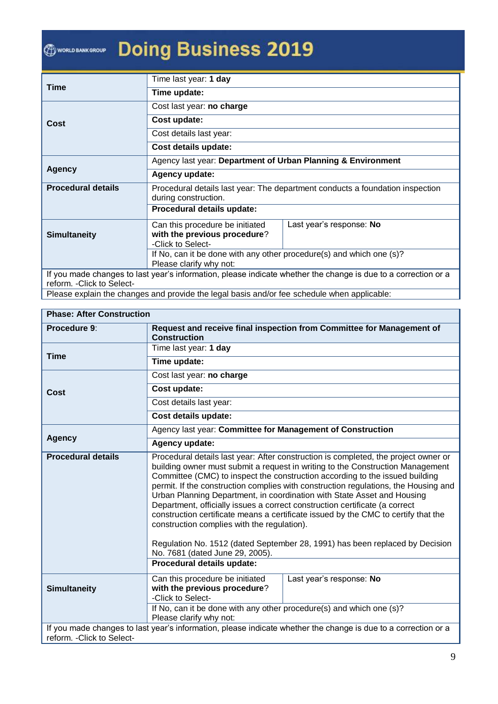## **Doing Business 2019** <sup><sup>1</sup> WORLD BANK GROUP</sup>

|                                                                                                                | Time last year: 1 day                                                                      |                          |  |
|----------------------------------------------------------------------------------------------------------------|--------------------------------------------------------------------------------------------|--------------------------|--|
| Time                                                                                                           | Time update:                                                                               |                          |  |
|                                                                                                                | Cost last year: no charge                                                                  |                          |  |
| Cost                                                                                                           | Cost update:                                                                               |                          |  |
|                                                                                                                | Cost details last year:                                                                    |                          |  |
|                                                                                                                | Cost details update:                                                                       |                          |  |
|                                                                                                                | Agency last year: Department of Urban Planning & Environment                               |                          |  |
| <b>Agency</b>                                                                                                  | Agency update:                                                                             |                          |  |
| <b>Procedural details</b>                                                                                      | Procedural details last year: The department conducts a foundation inspection              |                          |  |
|                                                                                                                | during construction.                                                                       |                          |  |
|                                                                                                                | Procedural details update:                                                                 |                          |  |
|                                                                                                                | Can this procedure be initiated                                                            | Last year's response: No |  |
| <b>Simultaneity</b>                                                                                            | with the previous procedure?                                                               |                          |  |
|                                                                                                                | -Click to Select-                                                                          |                          |  |
|                                                                                                                | If No, can it be done with any other procedure(s) and which one (s)?                       |                          |  |
|                                                                                                                | Please clarify why not:                                                                    |                          |  |
| If you made changes to last year's information, please indicate whether the change is due to a correction or a |                                                                                            |                          |  |
| reform. - Click to Select-                                                                                     |                                                                                            |                          |  |
|                                                                                                                | Please evolain the changes and provide the legal basis and/or fee schedule when applicable |                          |  |

Please explain the changes and provide the legal basis and/or fee schedule when applicable:

| <b>Phase: After Construction</b> |  |
|----------------------------------|--|
|----------------------------------|--|

T

| Procedure 9:               | Request and receive final inspection from Committee for Management of                                                                                                                                                                                                                                                                                                                                                                                                                                                                                                                                                                                                                                                                                                                        |  |  |
|----------------------------|----------------------------------------------------------------------------------------------------------------------------------------------------------------------------------------------------------------------------------------------------------------------------------------------------------------------------------------------------------------------------------------------------------------------------------------------------------------------------------------------------------------------------------------------------------------------------------------------------------------------------------------------------------------------------------------------------------------------------------------------------------------------------------------------|--|--|
|                            | <b>Construction</b>                                                                                                                                                                                                                                                                                                                                                                                                                                                                                                                                                                                                                                                                                                                                                                          |  |  |
| <b>Time</b>                | Time last year: 1 day                                                                                                                                                                                                                                                                                                                                                                                                                                                                                                                                                                                                                                                                                                                                                                        |  |  |
|                            | Time update:                                                                                                                                                                                                                                                                                                                                                                                                                                                                                                                                                                                                                                                                                                                                                                                 |  |  |
|                            | Cost last year: no charge                                                                                                                                                                                                                                                                                                                                                                                                                                                                                                                                                                                                                                                                                                                                                                    |  |  |
| Cost                       | Cost update:                                                                                                                                                                                                                                                                                                                                                                                                                                                                                                                                                                                                                                                                                                                                                                                 |  |  |
|                            | Cost details last year:                                                                                                                                                                                                                                                                                                                                                                                                                                                                                                                                                                                                                                                                                                                                                                      |  |  |
|                            | Cost details update:                                                                                                                                                                                                                                                                                                                                                                                                                                                                                                                                                                                                                                                                                                                                                                         |  |  |
|                            | Agency last year: Committee for Management of Construction                                                                                                                                                                                                                                                                                                                                                                                                                                                                                                                                                                                                                                                                                                                                   |  |  |
| <b>Agency</b>              | Agency update:                                                                                                                                                                                                                                                                                                                                                                                                                                                                                                                                                                                                                                                                                                                                                                               |  |  |
| <b>Procedural details</b>  | Procedural details last year: After construction is completed, the project owner or<br>building owner must submit a request in writing to the Construction Management<br>Committee (CMC) to inspect the construction according to the issued building<br>permit. If the construction complies with construction regulations, the Housing and<br>Urban Planning Department, in coordination with State Asset and Housing<br>Department, officially issues a correct construction certificate (a correct<br>construction certificate means a certificate issued by the CMC to certify that the<br>construction complies with the regulation).<br>Regulation No. 1512 (dated September 28, 1991) has been replaced by Decision<br>No. 7681 (dated June 29, 2005).<br>Procedural details update: |  |  |
|                            |                                                                                                                                                                                                                                                                                                                                                                                                                                                                                                                                                                                                                                                                                                                                                                                              |  |  |
| <b>Simultaneity</b>        | Can this procedure be initiated<br>Last year's response: No<br>with the previous procedure?<br>-Click to Select-                                                                                                                                                                                                                                                                                                                                                                                                                                                                                                                                                                                                                                                                             |  |  |
|                            | If No, can it be done with any other procedure(s) and which one (s)?<br>Please clarify why not:                                                                                                                                                                                                                                                                                                                                                                                                                                                                                                                                                                                                                                                                                              |  |  |
| reform. - Click to Select- | If you made changes to last year's information, please indicate whether the change is due to a correction or a                                                                                                                                                                                                                                                                                                                                                                                                                                                                                                                                                                                                                                                                               |  |  |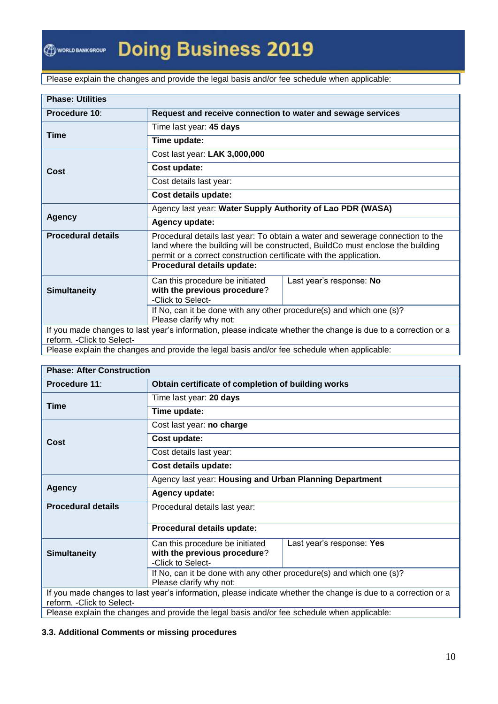Please explain the changes and provide the legal basis and/or fee schedule when applicable:

| <b>Phase: Utilities</b>    |                                                                                                                                                                  |                                                                                                                |  |
|----------------------------|------------------------------------------------------------------------------------------------------------------------------------------------------------------|----------------------------------------------------------------------------------------------------------------|--|
| Procedure 10:              | Request and receive connection to water and sewage services                                                                                                      |                                                                                                                |  |
| <b>Time</b>                | Time last year: 45 days                                                                                                                                          |                                                                                                                |  |
|                            | Time update:                                                                                                                                                     |                                                                                                                |  |
|                            | Cost last year: LAK 3,000,000                                                                                                                                    |                                                                                                                |  |
| Cost                       | Cost update:                                                                                                                                                     |                                                                                                                |  |
|                            | Cost details last year:                                                                                                                                          |                                                                                                                |  |
|                            | Cost details update:                                                                                                                                             |                                                                                                                |  |
|                            | Agency last year: Water Supply Authority of Lao PDR (WASA)                                                                                                       |                                                                                                                |  |
|                            | <b>Agency</b><br>Agency update:                                                                                                                                  |                                                                                                                |  |
| <b>Procedural details</b>  | Procedural details last year: To obtain a water and sewerage connection to the<br>land where the building will be constructed, BuildCo must enclose the building |                                                                                                                |  |
|                            | permit or a correct construction certificate with the application.                                                                                               |                                                                                                                |  |
|                            | Procedural details update:                                                                                                                                       |                                                                                                                |  |
|                            | Can this procedure be initiated                                                                                                                                  | Last year's response: No                                                                                       |  |
| <b>Simultaneity</b>        | with the previous procedure?<br>-Click to Select-                                                                                                                |                                                                                                                |  |
|                            | If No, can it be done with any other procedure(s) and which one (s)?<br>Please clarify why not:                                                                  |                                                                                                                |  |
| reform. - Click to Select- |                                                                                                                                                                  | If you made changes to last year's information, please indicate whether the change is due to a correction or a |  |

Please explain the changes and provide the legal basis and/or fee schedule when applicable:

| <b>Phase: After Construction</b>                                                                               |                                                                                                 |                           |  |
|----------------------------------------------------------------------------------------------------------------|-------------------------------------------------------------------------------------------------|---------------------------|--|
| <b>Procedure 11:</b>                                                                                           | Obtain certificate of completion of building works                                              |                           |  |
|                                                                                                                | Time last year: 20 days                                                                         |                           |  |
| Time                                                                                                           | Time update:                                                                                    |                           |  |
|                                                                                                                | Cost last year: no charge                                                                       |                           |  |
| Cost                                                                                                           | Cost update:                                                                                    |                           |  |
|                                                                                                                | Cost details last year:                                                                         |                           |  |
|                                                                                                                | Cost details update:                                                                            |                           |  |
|                                                                                                                | Agency last year: Housing and Urban Planning Department<br>Agency update:                       |                           |  |
| <b>Agency</b>                                                                                                  |                                                                                                 |                           |  |
| <b>Procedural details</b>                                                                                      | Procedural details last year:                                                                   |                           |  |
|                                                                                                                | Procedural details update:                                                                      |                           |  |
|                                                                                                                | Can this procedure be initiated                                                                 | Last year's response: Yes |  |
| <b>Simultaneity</b>                                                                                            | with the previous procedure?<br>-Click to Select-                                               |                           |  |
|                                                                                                                | If No, can it be done with any other procedure(s) and which one (s)?<br>Please clarify why not: |                           |  |
| If you made changes to last year's information, please indicate whether the change is due to a correction or a |                                                                                                 |                           |  |
| reform. - Click to Select-                                                                                     |                                                                                                 |                           |  |
|                                                                                                                | Please explain the changes and provide the legal basis and/or fee schedule when applicable:     |                           |  |

#### **3.3. Additional Comments or missing procedures**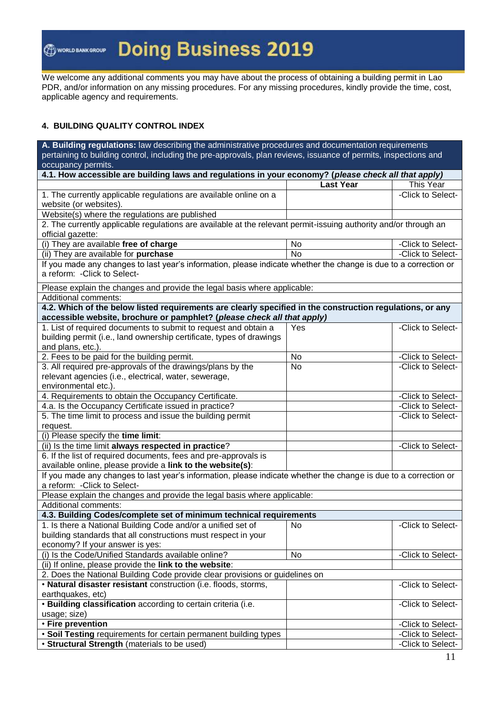We welcome any additional comments you may have about the process of obtaining a building permit in Lao PDR, and/or information on any missing procedures. For any missing procedures, kindly provide the time, cost, applicable agency and requirements.

#### **4. BUILDING QUALITY CONTROL INDEX**

**A. Building regulations:** law describing the administrative procedures and documentation requirements pertaining to building control, including the pre-approvals, plan reviews, issuance of permits, inspections and occupancy permits. **4.1. How accessible are building laws and regulations in your economy? (***please check all that apply)* **Last Year This Year** 1. The currently applicable regulations are available online on a website (or websites). -Click to Select-Website(s) where the regulations are published 2. The currently applicable regulations are available at the relevant permit-issuing authority and/or through an official gazette: (i) They are available **free of charge** No  $\vert$  No  $\vert$  -Click to Select-(ii) They are available for **purchase** No  $\vert$  No  $\vert$  -Click to Select-If you made any changes to last year's information, please indicate whether the change is due to a correction or a reform: -Click to Select-Please explain the changes and provide the legal basis where applicable: Additional comments: **4.2. Which of the below listed requirements are clearly specified in the construction regulations, or any accessible website, brochure or pamphlet? (***please check all that apply)* 1. List of required documents to submit to request and obtain a building permit (i.e., land ownership certificate, types of drawings and plans, etc.). Yes **-Click to Select-**2. Fees to be paid for the building permit. No <br>No click to Select-3. All required pre-approvals of the drawings/plans by the relevant agencies (i.e., electrical, water, sewerage, environmental etc.). No **-Click to Select-**4. Requirements to obtain the Occupancy Certificate.  $\vert$  click to Select-4.a. Is the Occupancy Certificate issued in practice?  $\vert$  click to Select-5. The time limit to process and issue the building permit request. -Click to Select- (i) Please specify the **time limit**: (ii) Is the time limit **always respected in practice**? 6. If the list of required documents, fees and pre-approvals is available online, please provide a **link to the website(s)**: If you made any changes to last year's information, please indicate whether the change is due to a correction or a reform: -Click to Select-Please explain the changes and provide the legal basis where applicable: Additional comments: **4.3. Building Codes/complete set of minimum technical requirements** 1. Is there a National Building Code and/or a unified set of building standards that all constructions must respect in your economy? If your answer is yes: No **-Click to Select-**(i) Is the Code/Unified Standards available online? No **No Constanting Constanting Constanting Constanting Constanting Constanting Constanting Constanting Constanting Constanting Constanting Constanting Constanting Constan** (ii) If online, please provide the **link to the website**: 2. Does the National Building Code provide clear provisions or guidelines on • **Natural disaster resistant** construction (i.e. floods, storms, earthquakes, etc) -Click to Select- • **Building classification** according to certain criteria (i.e. usage; size) -Click to Select- • **Fire prevention** and the selection of the selection of the selection of the selection of the selection of the selection of the selection of the selection of the selection of the selection of the selection of the selecti • **Soil Testing** requirements for certain permanent building types | Click to Select-• **Structural Strength** (materials to be used)  $\vert$  **click to Select-**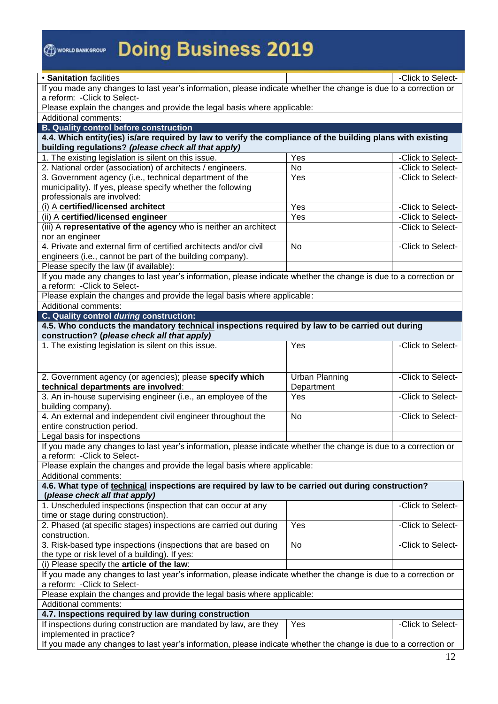# **OWENNERGROW Doing Business 2019**

| · Sanitation facilities                                                                                                                                                                                          |                       | -Click to Select- |  |  |
|------------------------------------------------------------------------------------------------------------------------------------------------------------------------------------------------------------------|-----------------------|-------------------|--|--|
| If you made any changes to last year's information, please indicate whether the change is due to a correction or                                                                                                 |                       |                   |  |  |
| a reform: - Click to Select-                                                                                                                                                                                     |                       |                   |  |  |
| Please explain the changes and provide the legal basis where applicable:                                                                                                                                         |                       |                   |  |  |
| <b>Additional comments:</b>                                                                                                                                                                                      |                       |                   |  |  |
| <b>B. Quality control before construction</b>                                                                                                                                                                    |                       |                   |  |  |
| 4.4. Which entity(ies) is/are required by law to verify the compliance of the building plans with existing                                                                                                       |                       |                   |  |  |
| building regulations? (please check all that apply)                                                                                                                                                              |                       |                   |  |  |
| 1. The existing legislation is silent on this issue.                                                                                                                                                             | $\overline{Y}$ es     | -Click to Select- |  |  |
| 2. National order (association) of architects / engineers.                                                                                                                                                       | $\overline{No}$       | -Click to Select- |  |  |
| 3. Government agency (i.e., technical department of the                                                                                                                                                          | Yes                   | -Click to Select- |  |  |
| municipality). If yes, please specify whether the following                                                                                                                                                      |                       |                   |  |  |
| professionals are involved:                                                                                                                                                                                      |                       |                   |  |  |
| (i) A certified/licensed architect                                                                                                                                                                               | Yes                   | -Click to Select- |  |  |
| (ii) A certified/licensed engineer                                                                                                                                                                               | Yes                   | -Click to Select- |  |  |
| (iii) A representative of the agency who is neither an architect                                                                                                                                                 |                       | -Click to Select- |  |  |
| nor an engineer                                                                                                                                                                                                  |                       |                   |  |  |
| 4. Private and external firm of certified architects and/or civil                                                                                                                                                | <b>No</b>             | -Click to Select- |  |  |
| engineers (i.e., cannot be part of the building company).                                                                                                                                                        |                       |                   |  |  |
| Please specify the law (if available):                                                                                                                                                                           |                       |                   |  |  |
| If you made any changes to last year's information, please indicate whether the change is due to a correction or                                                                                                 |                       |                   |  |  |
| a reform: - Click to Select-                                                                                                                                                                                     |                       |                   |  |  |
| Please explain the changes and provide the legal basis where applicable:<br>Additional comments:                                                                                                                 |                       |                   |  |  |
| C. Quality control during construction:                                                                                                                                                                          |                       |                   |  |  |
| 4.5. Who conducts the mandatory technical inspections required by law to be carried out during                                                                                                                   |                       |                   |  |  |
| construction? (please check all that apply)                                                                                                                                                                      |                       |                   |  |  |
| 1. The existing legislation is silent on this issue.                                                                                                                                                             | Yes                   | -Click to Select- |  |  |
|                                                                                                                                                                                                                  |                       |                   |  |  |
|                                                                                                                                                                                                                  |                       |                   |  |  |
|                                                                                                                                                                                                                  |                       |                   |  |  |
|                                                                                                                                                                                                                  |                       |                   |  |  |
| 2. Government agency (or agencies); please specify which                                                                                                                                                         | <b>Urban Planning</b> | -Click to Select- |  |  |
| technical departments are involved:                                                                                                                                                                              | Department            |                   |  |  |
| 3. An in-house supervising engineer (i.e., an employee of the                                                                                                                                                    | Yes                   | -Click to Select- |  |  |
| building company).                                                                                                                                                                                               | No                    | -Click to Select- |  |  |
| 4. An external and independent civil engineer throughout the<br>entire construction period.                                                                                                                      |                       |                   |  |  |
| Legal basis for inspections                                                                                                                                                                                      |                       |                   |  |  |
| If you made any changes to last year's information, please indicate whether the change is due to a correction or                                                                                                 |                       |                   |  |  |
| a reform: - Click to Select-                                                                                                                                                                                     |                       |                   |  |  |
| Please explain the changes and provide the legal basis where applicable:                                                                                                                                         |                       |                   |  |  |
| Additional comments:                                                                                                                                                                                             |                       |                   |  |  |
| 4.6. What type of technical inspections are required by law to be carried out during construction?                                                                                                               |                       |                   |  |  |
| (please check all that apply)                                                                                                                                                                                    |                       |                   |  |  |
| 1. Unscheduled inspections (inspection that can occur at any                                                                                                                                                     |                       | -Click to Select- |  |  |
| time or stage during construction).                                                                                                                                                                              |                       |                   |  |  |
| 2. Phased (at specific stages) inspections are carried out during                                                                                                                                                | Yes                   | -Click to Select- |  |  |
| construction.                                                                                                                                                                                                    |                       |                   |  |  |
| 3. Risk-based type inspections (inspections that are based on                                                                                                                                                    | No                    | -Click to Select- |  |  |
| the type or risk level of a building). If yes:                                                                                                                                                                   |                       |                   |  |  |
| (i) Please specify the article of the law:                                                                                                                                                                       |                       |                   |  |  |
| If you made any changes to last year's information, please indicate whether the change is due to a correction or                                                                                                 |                       |                   |  |  |
| a reform: - Click to Select-                                                                                                                                                                                     |                       |                   |  |  |
| Please explain the changes and provide the legal basis where applicable:                                                                                                                                         |                       |                   |  |  |
| Additional comments:                                                                                                                                                                                             |                       |                   |  |  |
| 4.7. Inspections required by law during construction                                                                                                                                                             | Yes                   |                   |  |  |
| If inspections during construction are mandated by law, are they<br>implemented in practice?<br>If you made any changes to last year's information, please indicate whether the change is due to a correction or |                       | -Click to Select- |  |  |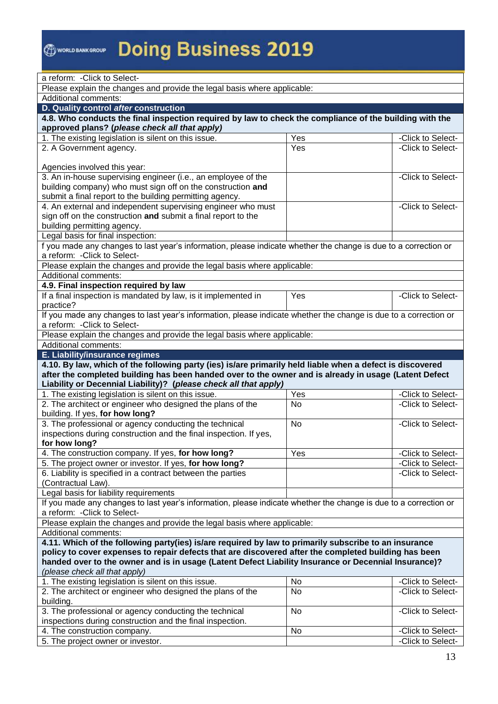| a reform: - Click to Select-                                                                                                                                                                                       |           |                                        |  |
|--------------------------------------------------------------------------------------------------------------------------------------------------------------------------------------------------------------------|-----------|----------------------------------------|--|
| Please explain the changes and provide the legal basis where applicable:                                                                                                                                           |           |                                        |  |
|                                                                                                                                                                                                                    |           |                                        |  |
| Additional comments:<br>D. Quality control after construction                                                                                                                                                      |           |                                        |  |
|                                                                                                                                                                                                                    |           |                                        |  |
| 4.8. Who conducts the final inspection required by law to check the compliance of the building with the<br>approved plans? (please check all that apply)                                                           |           |                                        |  |
| 1. The existing legislation is silent on this issue.                                                                                                                                                               | Yes       | -Click to Select-                      |  |
| 2. A Government agency.                                                                                                                                                                                            | Yes       | -Click to Select-                      |  |
|                                                                                                                                                                                                                    |           |                                        |  |
| Agencies involved this year:                                                                                                                                                                                       |           |                                        |  |
| 3. An in-house supervising engineer (i.e., an employee of the                                                                                                                                                      |           | -Click to Select-                      |  |
| building company) who must sign off on the construction and                                                                                                                                                        |           |                                        |  |
| submit a final report to the building permitting agency.                                                                                                                                                           |           |                                        |  |
| 4. An external and independent supervising engineer who must                                                                                                                                                       |           | -Click to Select-                      |  |
| sign off on the construction and submit a final report to the                                                                                                                                                      |           |                                        |  |
| building permitting agency.                                                                                                                                                                                        |           |                                        |  |
| Legal basis for final inspection:                                                                                                                                                                                  |           |                                        |  |
| f you made any changes to last year's information, please indicate whether the change is due to a correction or                                                                                                    |           |                                        |  |
| a reform: - Click to Select-                                                                                                                                                                                       |           |                                        |  |
| Please explain the changes and provide the legal basis where applicable:                                                                                                                                           |           |                                        |  |
| Additional comments:                                                                                                                                                                                               |           |                                        |  |
| 4.9. Final inspection required by law                                                                                                                                                                              |           |                                        |  |
| If a final inspection is mandated by law, is it implemented in                                                                                                                                                     | Yes       | -Click to Select-                      |  |
| practice?                                                                                                                                                                                                          |           |                                        |  |
| If you made any changes to last year's information, please indicate whether the change is due to a correction or                                                                                                   |           |                                        |  |
| a reform: - Click to Select-                                                                                                                                                                                       |           |                                        |  |
| Please explain the changes and provide the legal basis where applicable:                                                                                                                                           |           |                                        |  |
| Additional comments:                                                                                                                                                                                               |           |                                        |  |
|                                                                                                                                                                                                                    |           |                                        |  |
|                                                                                                                                                                                                                    |           |                                        |  |
| <b>E. Liability/insurance regimes</b>                                                                                                                                                                              |           |                                        |  |
| 4.10. By law, which of the following party (ies) is/are primarily held liable when a defect is discovered<br>after the completed building has been handed over to the owner and is already in usage (Latent Defect |           |                                        |  |
| Liability or Decennial Liability)? (please check all that apply)                                                                                                                                                   |           |                                        |  |
| 1. The existing legislation is silent on this issue.                                                                                                                                                               | Yes       | -Click to Select-                      |  |
| 2. The architect or engineer who designed the plans of the                                                                                                                                                         | <b>No</b> | -Click to Select-                      |  |
| building. If yes, for how long?                                                                                                                                                                                    |           |                                        |  |
| 3. The professional or agency conducting the technical                                                                                                                                                             | No        | -Click to Select-                      |  |
| inspections during construction and the final inspection. If yes,                                                                                                                                                  |           |                                        |  |
| for how long?                                                                                                                                                                                                      |           |                                        |  |
| 4. The construction company. If yes, for how long?                                                                                                                                                                 | Yes       | -Click to Select-                      |  |
| 5. The project owner or investor. If yes, for how long?                                                                                                                                                            |           | -Click to Select-                      |  |
| 6. Liability is specified in a contract between the parties                                                                                                                                                        |           | -Click to Select-                      |  |
| (Contractual Law).                                                                                                                                                                                                 |           |                                        |  |
| Legal basis for liability requirements                                                                                                                                                                             |           |                                        |  |
| If you made any changes to last year's information, please indicate whether the change is due to a correction or                                                                                                   |           |                                        |  |
| a reform: - Click to Select-                                                                                                                                                                                       |           |                                        |  |
| Please explain the changes and provide the legal basis where applicable:                                                                                                                                           |           |                                        |  |
| Additional comments:                                                                                                                                                                                               |           |                                        |  |
| 4.11. Which of the following party(ies) is/are required by law to primarily subscribe to an insurance                                                                                                              |           |                                        |  |
| policy to cover expenses to repair defects that are discovered after the completed building has been                                                                                                               |           |                                        |  |
| handed over to the owner and is in usage (Latent Defect Liability Insurance or Decennial Insurance)?                                                                                                               |           |                                        |  |
| (please check all that apply)                                                                                                                                                                                      |           |                                        |  |
| 1. The existing legislation is silent on this issue.                                                                                                                                                               | No        | -Click to Select-                      |  |
| 2. The architect or engineer who designed the plans of the                                                                                                                                                         | No        | -Click to Select-                      |  |
| building.                                                                                                                                                                                                          |           |                                        |  |
| 3. The professional or agency conducting the technical                                                                                                                                                             | No        | -Click to Select-                      |  |
| inspections during construction and the final inspection.                                                                                                                                                          |           |                                        |  |
| 4. The construction company.<br>5. The project owner or investor.                                                                                                                                                  | No        | -Click to Select-<br>-Click to Select- |  |